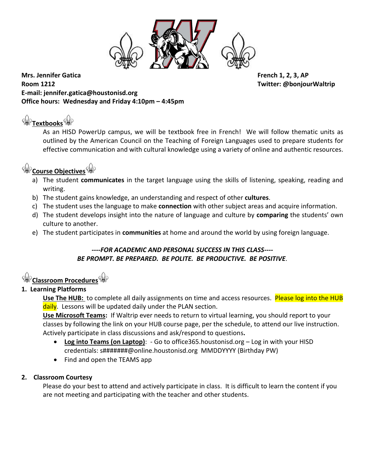

**Mrs. Jennifer Gatica French 1, 2, 3, AP Room 1212 Twitter: @bonjourWaltrip E-mail: jennifer.gatica@houstonisd.org Office hours: Wednesday and Friday 4:10pm – 4:45pm**

**[T](http://images.google.com/imgres?imgurl=http://www.hermetic.com/sabazius/fleur.gif&imgrefurl=http://www.hermetic.com/sabazius/gmnotes.htm&h=200&w=194&sz=2&tbnid=jqplzYsfmXP6CM:&tbnh=99&tbnw=96&hl=en&start=1&prev=/images%3Fq%3Dfleur%2Bde%2Blys%26svnum%3D10%26hl%3Den%26lr%3D)extbook[s](http://images.google.com/imgres?imgurl=http://www.hermetic.com/sabazius/fleur.gif&imgrefurl=http://www.hermetic.com/sabazius/gmnotes.htm&h=200&w=194&sz=2&tbnid=jqplzYsfmXP6CM:&tbnh=99&tbnw=96&hl=en&start=1&prev=/images%3Fq%3Dfleur%2Bde%2Blys%26svnum%3D10%26hl%3Den%26lr%3D)**

As an HISD PowerUp campus, we will be textbook free in French! We will follow thematic units as outlined by the American Council on the Teaching of Foreign Languages used to prepare students for effective communication and with cultural knowledge using a variety of online and authentic resources.

# **[C](http://images.google.com/imgres?imgurl=http://www.hermetic.com/sabazius/fleur.gif&imgrefurl=http://www.hermetic.com/sabazius/gmnotes.htm&h=200&w=194&sz=2&tbnid=jqplzYsfmXP6CM:&tbnh=99&tbnw=96&hl=en&start=1&prev=/images%3Fq%3Dfleur%2Bde%2Blys%26svnum%3D10%26hl%3Den%26lr%3D)ourse Objective[s](http://images.google.com/imgres?imgurl=http://www.hermetic.com/sabazius/fleur.gif&imgrefurl=http://www.hermetic.com/sabazius/gmnotes.htm&h=200&w=194&sz=2&tbnid=jqplzYsfmXP6CM:&tbnh=99&tbnw=96&hl=en&start=1&prev=/images%3Fq%3Dfleur%2Bde%2Blys%26svnum%3D10%26hl%3Den%26lr%3D)**

- a) The student **communicates** in the target language using the skills of listening, speaking, reading and writing.
- b) The student gains knowledge, an understanding and respect of other **cultures**.
- c) The student uses the language to make **connection** with other subject areas and acquire information.
- d) The student develops insight into the nature of language and culture by **comparing** the students' own culture to another.
- e) The student participates in **communities** at home and around the world by using foreign language.

# *----FOR ACADEMIC AND PERSONAL SUCCESS IN THIS CLASS---- BE PROMPT. BE PREPARED. BE POLITE. BE PRODUCTIVE. BE POSITIVE.*

# **[C](http://images.google.com/imgres?imgurl=http://www.hermetic.com/sabazius/fleur.gif&imgrefurl=http://www.hermetic.com/sabazius/gmnotes.htm&h=200&w=194&sz=2&tbnid=jqplzYsfmXP6CM:&tbnh=99&tbnw=96&hl=en&start=1&prev=/images%3Fq%3Dfleur%2Bde%2Blys%26svnum%3D10%26hl%3Den%26lr%3D)lassroom Procedure[s](http://images.google.com/imgres?imgurl=http://www.hermetic.com/sabazius/fleur.gif&imgrefurl=http://www.hermetic.com/sabazius/gmnotes.htm&h=200&w=194&sz=2&tbnid=jqplzYsfmXP6CM:&tbnh=99&tbnw=96&hl=en&start=1&prev=/images%3Fq%3Dfleur%2Bde%2Blys%26svnum%3D10%26hl%3Den%26lr%3D)**

# **1. Learning Platforms**

**Use The HUB:** to complete all daily assignments on time and access resources. Please log into the HUB daily. Lessons will be updated daily under the PLAN section.

**Use Microsoft Teams:** If Waltrip ever needs to return to virtual learning, you should report to your classes by following the link on your HUB course page, per the schedule, to attend our live instruction. Actively participate in class discussions and ask/respond to questions**.** 

- **Log into Teams (on Laptop)**: Go to office365.houstonisd.org Log in with your HISD credentials: s#######@online.houstonisd.org MMDDYYYY (Birthday PW)
- Find and open the TEAMS app

# **2. Classroom Courtesy**

Please do your best to attend and actively participate in class. It is difficult to learn the content if you are not meeting and participating with the teacher and other students.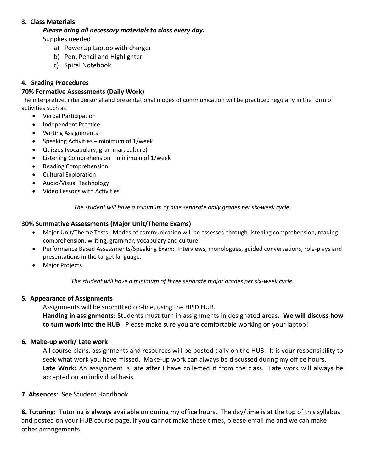### **3. Class Materials**

### *Please bring all necessary materials to class every day.*

Supplies needed

- a) PowerUp Laptop with charger
- b) Pen, Pencil and Highlighter
- c) Spiral Notebook

## **4. Grading Procedures**

## **70% Formative Assessments (Daily Work)**

The interpretive, interpersonal and presentational modes of communication will be practiced regularly in the form of activities such as:

- Verbal Participation
- Independent Practice
- Writing Assignments
- Speaking Activities minimum of 1/week
- Quizzes (vocabulary, grammar, culture)
- Listening Comprehension minimum of 1/week
- Reading Comprehension
- Cultural Exploration
- Audio/Visual Technology
- Video Lessons with Activities

*The student will have a minimum of nine separate daily grades per six-week cycle.*

### **30% Summative Assessments (Major Unit/Theme Exams)**

- Major Unit/Theme Tests: Modes of communication will be assessed through listening comprehension, reading comprehension, writing, grammar, vocabulary and culture.
- Performance Based Assessments/Speaking Exam: Interviews, monologues, guided conversations, role-plays and presentations in the target language.
- Major Projects

*The student will have a minimum of three separate major grades per six-week cycle.*

### **5. Appearance of Assignments**

Assignments will be submitted on-line, using the HISD HUB.

**Handing in assignments:** Students must turn in assignments in designated areas. **We will discuss how to turn work into the HUB.** Please make sure you are comfortable working on your laptop!

### **6. Make-up work/ Late work**

All course plans, assignments and resources will be posted daily on the HUB. It is your responsibility to seek what work you have missed. Make-up work can always be discussed during my office hours. **Late Work:** An assignment is late after I have collected it from the class. Late work will always be accepted on an individual basis.

### **7. Absences**:See Student Handbook

**8. Tutoring:** Tutoring is **always** available on during my office hours. The day/time is at the top of this syllabus and posted on your HUB course page. If you cannot make these times, please email me and we can make other arrangements.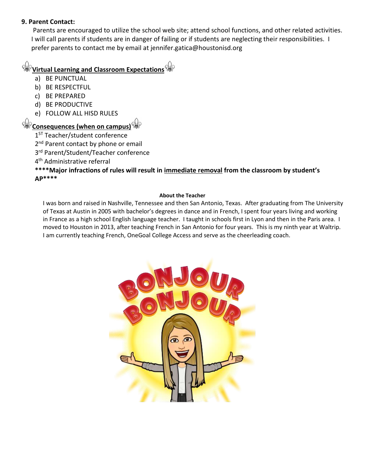## **9. Parent Contact:**

Parents are encouraged to utilize the school web site; attend school functions, and other related activities. I will call parents if students are in danger of failing or if students are neglecting their responsibilities. I prefer parents to contact me by email at jennifer.gatica@houstonisd.org

# **[V](http://images.google.com/imgres?imgurl=http://www.hermetic.com/sabazius/fleur.gif&imgrefurl=http://www.hermetic.com/sabazius/gmnotes.htm&h=200&w=194&sz=2&tbnid=jqplzYsfmXP6CM:&tbnh=99&tbnw=96&hl=en&start=1&prev=/images%3Fq%3Dfleur%2Bde%2Blys%26svnum%3D10%26hl%3Den%26lr%3D)irtual Learning and Classroom Expectation[s](http://images.google.com/imgres?imgurl=http://www.hermetic.com/sabazius/fleur.gif&imgrefurl=http://www.hermetic.com/sabazius/gmnotes.htm&h=200&w=194&sz=2&tbnid=jqplzYsfmXP6CM:&tbnh=99&tbnw=96&hl=en&start=1&prev=/images%3Fq%3Dfleur%2Bde%2Blys%26svnum%3D10%26hl%3Den%26lr%3D)**

- a) BE PUNCTUAL
- b) BE RESPECTFUL
- c) BE PREPARED
- d) BE PRODUCTIVE
- e) FOLLOW ALL HISD RULES

# $\frac{1}{2}$  [C](http://images.google.com/imgres?imgurl=http://www.hermetic.com/sabazius/fleur.gif&imgrefurl=http://www.hermetic.com/sabazius/gmnotes.htm&h=200&w=194&sz=2&tbnid=jqplzYsfmXP6CM:&tbnh=99&tbnw=96&hl=en&start=1&prev=/images%3Fq%3Dfleur%2Bde%2Blys%26svnum%3D10%26hl%3Den%26lr%3D)onsequences (when on campus[\)](http://images.google.com/imgres?imgurl=http://www.hermetic.com/sabazius/fleur.gif&imgrefurl=http://www.hermetic.com/sabazius/gmnotes.htm&h=200&w=194&sz=2&tbnid=jqplzYsfmXP6CM:&tbnh=99&tbnw=96&hl=en&start=1&prev=/images%3Fq%3Dfleur%2Bde%2Blys%26svnum%3D10%26hl%3Den%26lr%3D)<sup>(</sup>

- 1<sup>ST</sup> Teacher/student conference
- 2<sup>nd</sup> Parent contact by phone or email
- 3<sup>rd</sup> Parent/Student/Teacher conference

4<sup>th</sup> Administrative referral

# **\*\*\*\*Major infractions of rules will result in immediate removal from the classroom by student's AP\*\*\*\***

### **About the Teacher**

I was born and raised in Nashville, Tennessee and then San Antonio, Texas. After graduating from The University of Texas at Austin in 2005 with bachelor's degrees in dance and in French, I spent four years living and working in France as a high school English language teacher. I taught in schools first in Lyon and then in the Paris area. I moved to Houston in 2013, after teaching French in San Antonio for four years. This is my ninth year at Waltrip. I am currently teaching French, OneGoal College Access and serve as the cheerleading coach.

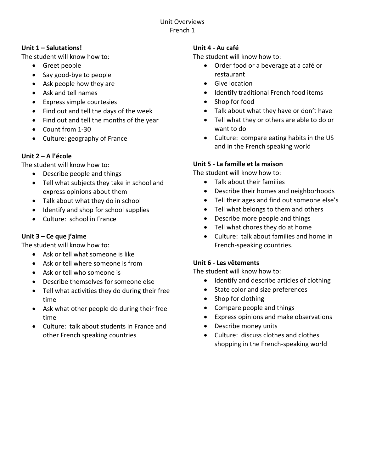# Unit Overviews French 1

# **Unit 1 – Salutations!**

The student will know how to:

- Greet people
- Say good-bye to people
- Ask people how they are
- Ask and tell names
- Express simple courtesies
- Find out and tell the days of the week
- Find out and tell the months of the year
- Count from 1-30
- Culture: geography of France

# **Unit 2 – A l'école**

The student will know how to:

- Describe people and things
- Tell what subjects they take in school and express opinions about them
- Talk about what they do in school
- Identify and shop for school supplies
- Culture: school in France

# **Unit 3 – Ce que j'aime**

The student will know how to:

- Ask or tell what someone is like
- Ask or tell where someone is from
- Ask or tell who someone is
- Describe themselves for someone else
- Tell what activities they do during their free time
- Ask what other people do during their free time
- Culture: talk about students in France and other French speaking countries

# **Unit 4 - Au café**

The student will know how to:

- Order food or a beverage at a café or restaurant
- Give location
- Identify traditional French food items
- Shop for food
- Talk about what they have or don't have
- Tell what they or others are able to do or want to do
- Culture: compare eating habits in the US and in the French speaking world

# **Unit 5 - La famille et la maison**

The student will know how to:

- Talk about their families
- Describe their homes and neighborhoods
- Tell their ages and find out someone else's
- Tell what belongs to them and others
- Describe more people and things
- Tell what chores they do at home
- Culture: talk about families and home in French-speaking countries.

# **Unit 6 - Les vêtements**

The student will know how to:

- Identify and describe articles of clothing
- State color and size preferences
- Shop for clothing
- Compare people and things
- Express opinions and make observations
- Describe money units
- Culture: discuss clothes and clothes shopping in the French-speaking world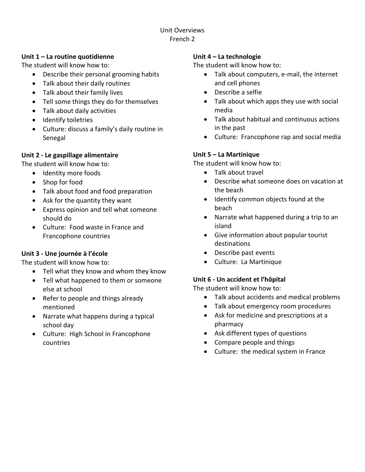# Unit Overviews French 2

# **Unit 1 – La routine quotidienne**

The student will know how to:

- Describe their personal grooming habits
- Talk about their daily routines
- Talk about their family lives
- Tell some things they do for themselves
- Talk about daily activities
- Identify toiletries
- Culture: discuss a family's daily routine in Senegal

# **Unit 2 - Le gaspillage alimentaire**

The student will know how to:

- Identity more foods
	- Shop for food
	- Talk about food and food preparation
	- Ask for the quantity they want
	- Express opinion and tell what someone should do
	- Culture: Food waste in France and Francophone countries

# **Unit 3 - Une journée à l'école**

The student will know how to:

- Tell what they know and whom they know
- Tell what happened to them or someone else at school
- Refer to people and things already mentioned
- Narrate what happens during a typical school day
- Culture: High School in Francophone countries

# **Unit 4 – La technologie**

The student will know how to:

- Talk about computers, e-mail, the internet and cell phones
- Describe a selfie
- Talk about which apps they use with social media
- Talk about habitual and continuous actions in the past
- Culture: Francophone rap and social media

# **Unit 5 – La Martinique**

The student will know how to:

- Talk about travel
- Describe what someone does on vacation at the beach
- Identify common objects found at the beach
- Narrate what happened during a trip to an island
- Give information about popular tourist destinations
- Describe past events
- Culture: La Martinique

# **Unit 6 - Un accident et l'hôpital**

The student will know how to:

- Talk about accidents and medical problems
- Talk about emergency room procedures
- Ask for medicine and prescriptions at a pharmacy
- Ask different types of questions
- Compare people and things
- Culture: the medical system in France